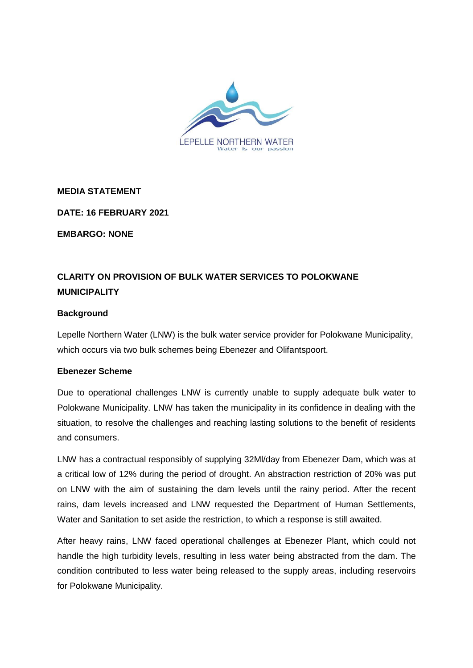

**MEDIA STATEMENT**

**DATE: 16 FEBRUARY 2021**

**EMBARGO: NONE**

## **CLARITY ON PROVISION OF BULK WATER SERVICES TO POLOKWANE MUNICIPALITY**

## **Background**

Lepelle Northern Water (LNW) is the bulk water service provider for Polokwane Municipality, which occurs via two bulk schemes being Ebenezer and Olifantspoort.

## **Ebenezer Scheme**

Due to operational challenges LNW is currently unable to supply adequate bulk water to Polokwane Municipality. LNW has taken the municipality in its confidence in dealing with the situation, to resolve the challenges and reaching lasting solutions to the benefit of residents and consumers.

LNW has a contractual responsibly of supplying 32Ml/day from Ebenezer Dam, which was at a critical low of 12% during the period of drought. An abstraction restriction of 20% was put on LNW with the aim of sustaining the dam levels until the rainy period. After the recent rains, dam levels increased and LNW requested the Department of Human Settlements, Water and Sanitation to set aside the restriction, to which a response is still awaited.

After heavy rains, LNW faced operational challenges at Ebenezer Plant, which could not handle the high turbidity levels, resulting in less water being abstracted from the dam. The condition contributed to less water being released to the supply areas, including reservoirs for Polokwane Municipality.